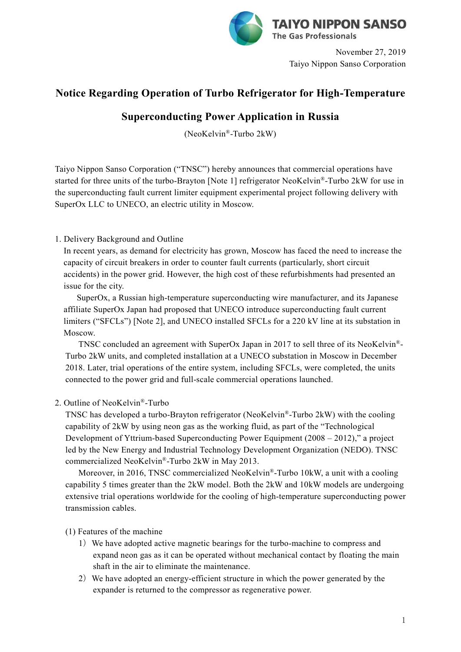

November 27, 2019 Taiyo Nippon Sanso Corporation

## **Notice Regarding Operation of Turbo Refrigerator for High-Temperature**

# **Superconducting Power Application in Russia**

(NeoKelvin ®-Turbo 2kW)

Taiyo Nippon Sanso Corporation ("TNSC") hereby announces that commercial operations have started for three units of the turbo-Brayton [Note 1] refrigerator NeoKelvin ®-Turbo 2kW for use in the superconducting fault current limiter equipment experimental project following delivery with SuperOx LLC to UNECO, an electric utility in Moscow.

#### 1. Delivery Background and Outline

In recent years, as demand for electricity has grown, Moscow has faced the need to increase the capacity of circuit breakers in order to counter fault currents (particularly, short circuit accidents) in the power grid. However, the high cost of these refurbishments had presented an issue for the city.

SuperOx, a Russian high-temperature superconducting wire manufacturer, and its Japanese affiliate SuperOx Japan had proposed that UNECO introduce superconducting fault current limiters ("SFCLs") [Note 2], and UNECO installed SFCLs for a 220 kV line at its substation in Moscow.

TNSC concluded an agreement with SuperOx Japan in 2017 to sell three of its NeoKelvin ®- Turbo 2kW units, and completed installation at a UNECO substation in Moscow in December 2018. Later, trial operations of the entire system, including SFCLs, were completed, the units connected to the power grid and full-scale commercial operations launched.

#### 2. Outline of NeoKelvin ®-Turbo

TNSC has developed a turbo-Brayton refrigerator (NeoKelvin ®-Turbo 2kW) with the cooling capability of 2kW by using neon gas as the working fluid, as part of the "Technological Development of Yttrium-based Superconducting Power Equipment (2008 – 2012)," a project led by the New Energy and Industrial Technology Development Organization (NEDO). TNSC commercialized NeoKelvin ®-Turbo 2kW in May 2013.

Moreover, in 2016, TNSC commercialized NeoKelvin ®-Turbo 10kW, a unit with a cooling capability 5 times greater than the 2kW model. Both the 2kW and 10kW models are undergoing extensive trial operations worldwide for the cooling of high-temperature superconducting power transmission cables.

(1) Features of the machine

- 1)We have adopted active magnetic bearings for the turbo-machine to compress and expand neon gas as it can be operated without mechanical contact by floating the main shaft in the air to eliminate the maintenance.
- 2)We have adopted an energy-efficient structure in which the power generated by the expander is returned to the compressor as regenerative power.